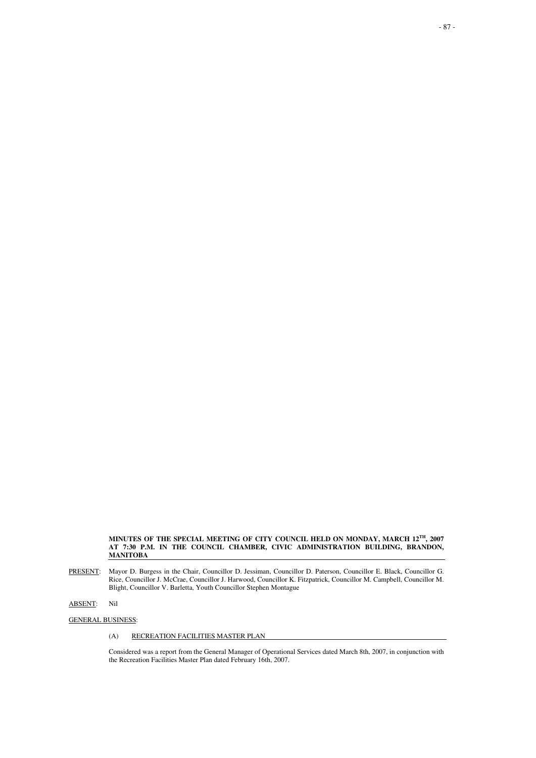**MINUTES OF THE SPECIAL MEETING OF CITY COUNCIL HELD ON MONDAY, MARCH 12TH, 2007 AT 7:30 P.M. IN THE COUNCIL CHAMBER, CIVIC ADMINISTRATION BUILDING, BRANDON, MANITOBA** 

PRESENT: Mayor D. Burgess in the Chair, Councillor D. Jessiman, Councillor D. Paterson, Councillor E. Black, Councillor G. Rice, Councillor J. McCrae, Councillor J. Harwood, Councillor K. Fitzpatrick, Councillor M. Campbell, Councillor M. Blight, Councillor V. Barletta, Youth Councillor Stephen Montague

ABSENT: Nil

# GENERAL BUSINESS:

# (A) RECREATION FACILITIES MASTER PLAN

Considered was a report from the General Manager of Operational Services dated March 8th, 2007, in conjunction with the Recreation Facilities Master Plan dated February 16th, 2007.